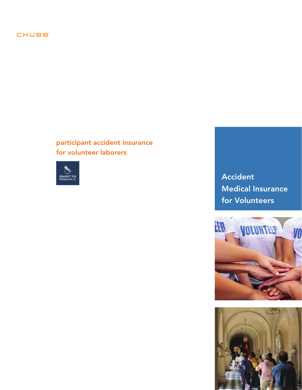# CHUBB'

participant accident insurance for volunteer laborers



Accident Medical Insurance for Volunteers



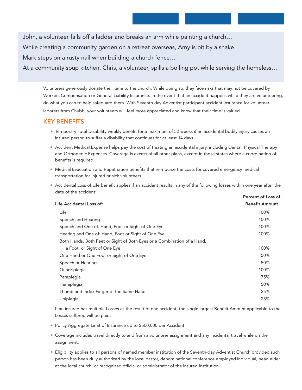John, a volunteer falls off a ladder and breaks an arm while painting a church…

While creating a community garden on a retreat overseas, Amy is bit by a snake…

Mark steps on a rusty nail when building a church fence…

At a community soup kitchen, Chris, a volunteer, spills a boiling pot while serving the homeless…

Volunteers generously donate their time to the church. While doing so, they face risks that may not be covered by Workers Compensation or General Liability Insurance. In the event that an accident happens while they are volunteering, do what you can to help safeguard them. With Seventh day Adventist participant accident insurance for volunteer laborers from Chubb, your volunteers will feel more appreciated and know that their time is valued.

#### KEY BENEFITS

- Temporary Total Disability weekly benefit for a maximum of 52 weeks if an accidental bodily injury causes an insured person to suffer a disability that continues for at least 14 days.
- Accident Medical Expense helps pay the cost of treating an accidental injury, including Dental, Physical Therapy and Orthopedic Expenses. Coverage is excess of all other plans, except in those states where a coordination of benefits is required.
- Medical Evacuation and Repatriation benefits that reimburse the costs for covered emergency medical transportation for injured or sick volunteers.
- Accidental Loss of Life benefit applies if an accident results in any of the following losses within one year after the date of the accident: Percent of Loss of

|                                                                         | <u>I GILGIIL UI LUSS UI</u> |
|-------------------------------------------------------------------------|-----------------------------|
| Life Accidental Loss of:                                                | <b>Benefit Amount</b>       |
| Life                                                                    | 100%                        |
| Speech and Hearing                                                      | 100%                        |
| Speech and One of: Hand, Foot or Sight of One Eye                       | 100%                        |
| Hearing and One of: Hand, Foot or Sight of One Eye                      | 100%                        |
| Both Hands, Both Feet or Sight of Both Eyes or a Combination of a Hand, |                             |
| a Foot, or Sight of One Eye                                             | 100%                        |
| One Hand or One Foot or Sight of One Eye                                | 50%                         |
| Speech or Hearing                                                       | 50%                         |
| Quadriplegia                                                            | 100%                        |
| Paraplegia                                                              | 75%                         |
| Hemiplegia                                                              | 50%                         |
| Thumb and Index Finger of the Same Hand                                 | 25%                         |
| Uniplegia                                                               | 25%                         |
|                                                                         |                             |

If an insured has multiple Losses as the result of one accident, the single largest Benefit Amount applicable to the Losses suffered will be paid.

- Policy Aggregate Limit of Insurance up to \$500,000 per Accident.
- Coverage includes travel directly to and from a volunteer assignment and any incidental travel while on the assignment.
- Eligibility applies to all persons of named member institution of the Seventh-day Adventist Church provided such person has been duly authorized by the local pastor, denominational conference employed individual, head elder at the local church, or recognized official or administrator of the insured institution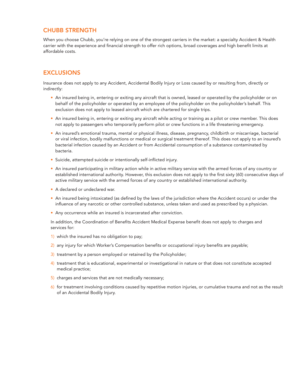# CHUBB STRENGTH

When you choose Chubb, you're relying on one of the strongest carriers in the market: a specialty Accident & Health carrier with the experience and financial strength to offer rich options, broad coverages and high benefit limits at affordable costs.

# **EXCLUSIONS**

Insurance does not apply to any Accident, Accidental Bodily Injury or Loss caused by or resulting from, directly or indirectly:

- An insured being in, entering or exiting any aircraft that is owned, leased or operated by the policyholder or on behalf of the policyholder or operated by an employee of the policyholder on the policyholder's behalf. This exclusion does not apply to leased aircraft which are chartered for single trips.
- An insured being in, entering or exiting any aircraft while acting or training as a pilot or crew member. This does not apply to passengers who temporarily perform pilot or crew functions in a life threatening emergency.
- An insured's emotional trauma, mental or physical illness, disease, pregnancy, childbirth or miscarriage, bacterial or viral infection, bodily malfunctions or medical or surgical treatment thereof. This does not apply to an insured's bacterial infection caused by an Accident or from Accidental consumption of a substance contaminated by bacteria.
- Suicide, attempted suicide or intentionally self-inflicted injury.
- An insured participating in military action while in active military service with the armed forces of any country or established international authority. However, this exclusion does not apply to the first sixty (60) consecutive days of active military service with the armed forces of any country or established international authority.
- A declared or undeclared war.
- An insured being intoxicated (as defined by the laws of the jurisdiction where the Accident occurs) or under the influence of any narcotic or other controlled substance, unless taken and used as prescribed by a physician.
- Any occurrence while an insured is incarcerated after conviction.

In addition, the Coordination of Benefits Accident Medical Expense benefit does not apply to charges and services for:

- 1) which the insured has no obligation to pay;
- 2) any injury for which Worker's Compensation benefits or occupational injury benefits are payable;
- 3) treatment by a person employed or retained by the Policyholder;
- 4) treatment that is educational, experimental or investigational in nature or that does not constitute accepted medical practice;
- 5) charges and services that are not medically necessary;
- 6) for treatment involving conditions caused by repetitive motion injuries, or cumulative trauma and not as the result of an Accidental Bodily Injury.